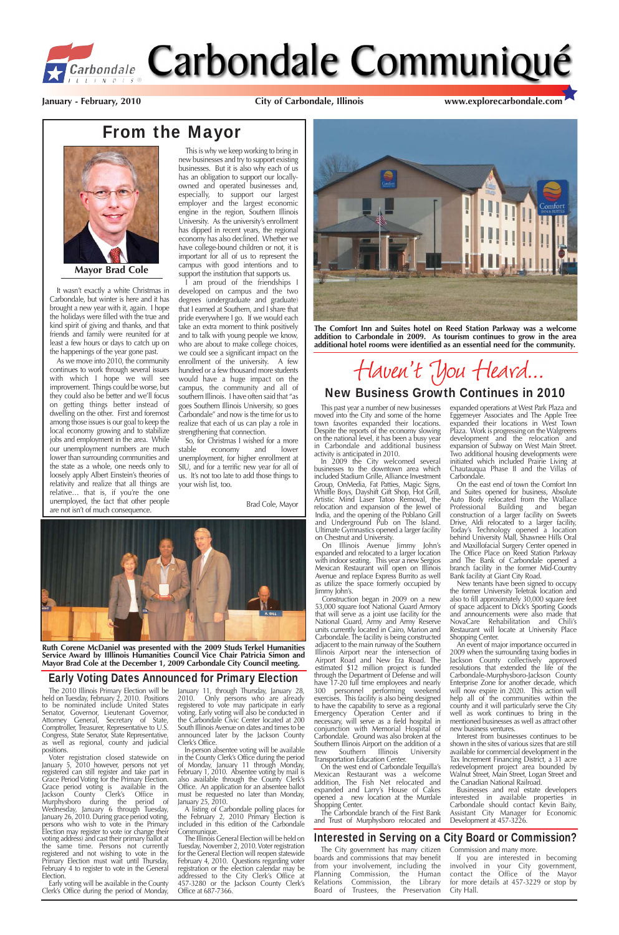

# *F Carbondale* Carbondale Communiqué

### From the Mayor

It wasn't exactly a white Christmas in Carbondale, but winter is here and it has brought a new year with it, again. I hope the holidays were filled with the true and kind spirit of giving and thanks, and that friends and family were reunited for at least a few hours or days to catch up on the happenings of the year gone past.

This is why we keep working to bring in new businesses and try to support existing businesses. But it is also why each of us has an obligation to support our locallyowned and operated businesses and, especially, to support our largest employer and the largest economic engine in the region, Southern Illinois University. As the university's enrollment has dipped in recent years, the regional economy has also declined. Whether we have college-bound children or not, it is important for all of us to represent the campus with good intentions and to support the institution that supports us.

As we move into 2010, the community continues to work through several issues with which I hope we will see improvement. Things could be worse, but they could also be better and we'll focus on getting things better instead of dwelling on the other. First and foremost among those issues is our goal to keep the local economy growing and to stabilize jobs and employment in the area. While our unemployment numbers are much lower than surrounding communities and the state as a whole, one needs only to loosely apply Albert Einstein's theories of relativity and realize that all things are relative… that is, if you're the one unemployed, the fact that other people are not isn't of much consequence.

So, for Christmas I wished for a more<br>able economy and lower stable economy and lower unemployment, for higher enrollment at SIU, and for a terrific new year for all of us. It's not too late to add those things to your wish list, too.

I am proud of the friendships I developed on campus and the two degrees (undergraduate and graduate) that I earned at Southern, and I share that pride everywhere I go. If we would each take an extra moment to think positively and to talk with young people we know, who are about to make college choices, we could see a significant impact on the enrollment of the university. A few hundred or a few thousand more students would have a huge impact on the campus, the community and all of southern Illinois. I have often said that "as goes Southern Illinois University, so goes Carbondale" and now is the time for us to realize that each of us can play a role in strengthening that connection.

positions.<br>Voter registration closed statewide on January 5, 2010 however, persons not yet registered can still register and take part in Grace Period Voting for the Primary Election. Grace period voting is available in the Jackson County Clerk's Office in Murphysboro during the period of Wednesday, January 6 through Tuesday, January 26, 2010. During grace period voting, persons who wish to vote in the Primary Election may register to vote (or change their voting address) and cast their primary ballot at the same time. Persons not currently registered and not wishing to vote in the Primary Election must wait until Thursday, February 4 to register to vote in the General Election.

In-person absentee voting will be available in the County Clerk's Office during the period of Monday, January 11 through Monday, February 1, 2010. Absentee voting by mail is also available through the County Clerk's Office. An application for an absentee ballot must be requested no later than Monday, January 25, 2010.

 $\overline{A}$  listing of Carbondale polling places for the February 2, 2010 Primary Election is included in this edition of the Carbondale Communique.

Brad Cole, Mayor



**Mayor Brad Cole**

#### Interested in Serving on a City Board or Commission?

The City government has many citizen boards and commissions that may benefit from your involvement, including the Planning Commission, the Human Relations Commission, the Library Board of Trustees, the Preservation Commission and many more.

If you are interested in becoming involved in your City government, contact the Office of the Mayor for more details at 457-3229 or stop by City Hall.

#### Early Voting Dates Announced for Primary Election

The 2010 Illinois Primary Election will be held on Tuesday, February 2, 2010. Positions to be nominated include United States Senator, Governor, Lieutenant Governor, Attorney General, Secretary of State, Comptroller, Treasurer, Representative to U.S. Congress, State Senator, State Representative, as well as regional, county and judicial

Early voting will be available in the County Clerk's Office during the period of Monday, January 11, through Thursday, January 28, 2010. Only persons who are already registered to vote may participate in early voting. Early voting will also be conducted in the Carbondale Civic Center located at 200 South Illinois Avenue on dates and times to be announced later by the Jackson County Clerk's Office.

An event of major importance occurred in 2009 when the surrounding taxing bodies in Jackson County collectively approved resolutions that extended the life of the Carbondale-Murphysboro-Jackson County Enterprise Zone for another decade, which will now expire in 2020. This action will help all of the communities within the county and it will particularly serve the City well as work continues to bring in the mentioned businesses as well as attract other new business ventures. Interest from businesses continues to be shown in the sites of various sizes that are still available for commercial development in the Tax Increment Financing District, a 31 acre redevelopment project area bounded by Walnut Street, Main Street, Logan Street and the Canadian National Railroad. Businesses and real estate developers interested in available properties in Carbondale should contact Kevin Baity, Assistant City Manager for Economic Development at 457-3226.

The Illinois General Election will be held on Tuesday, November 2, 2010. Voter registration for the General Election will reopen statewide February 4, 2010. Questions regarding voter registration or the election calendar may be addressed to the City Clerk's Office at 457-3280 or the Jackson County Clerk's Office at 687-7366.

**January - February, 2010 City of Carbondale, Illinois www.explorecarbondale.com**

This past year a number of new businesses moved into the City and some of the home town favorites expanded their locations. Despite the reports of the economy slowing on the national level, it has been a busy year in Carbondale and additional business activity is anticipated in 2010.

In 2009 the City welcomed several businesses to the downtown area which included Stadium Grille, Alliance Investment Group, OnMedia, Fat Patties, Magic Signs, Whiffle Boys, Dayshift Gift Shop, Hot Grill, Artistic Mind Laser Tatoo Removal, the relocation and expansion of the Jewel of India, and the opening of the Poblano Grill and Underground Pub on The Island. Ultimate Gymnastics opened a larger facility on Chestnut and University.

On Illinois Avenue Jimmy John's expanded and relocated to a larger location with indoor seating. This year a new Sergios Mexican Restaurant will open on Illinois Avenue and replace Express Burrito as well as utilize the space formerly occupied by Jimmy John's.

Construction began in 2009 on a new 53,000 square foot National Guard Armory that will serve as a joint use facility for the National Guard, Army and Army Reserve units currently located in Cairo, Marion and Carbondale. The facility is being constructed adjacent to the main runway of the Southern Illinois Airport near the intersection of Airport Road and New Era Road. The estimated \$12 million project is funded through the Department of Defense and will have 17-20 full time employees and nearly 300 personnel performing weekend exercises. This facility is also being designed to have the capability to serve as a regional Emergency Operation Center and if necessary, will serve as a field hospital in conjunction with Memorial Hospital of Carbondale. Ground was also broken at the Southern Illinois Airport on the addition of a<br>new Southern Illinois University new Southern Illinois University Transportation Education Center. On the west end of Carbondale Tequilla's Mexican Restaurant was a welcome addition, The Fish Net relocated and expanded and Larry's House of Cakes opened a new location at the Murdale Shopping Center.

The Carbondale branch of the First Bank and Trust of Murphysboro relocated and expanded operations at West Park Plaza and Eggemeyer Associates and The Apple Tree expanded their locations in West Town Plaza. Work is progressing on the Walgreens development and the relocation and expansion of Subway on West Main Street. Two additional housing developments were initiated which included Prairie Living at Chautauqua Phase II and the Villas of Carbondale.

On the east end of town the Comfort Inn and Suites opened for business, Absolute Auto Body relocated from the Wallace Professional Building and began construction of a larger facility on Sweets Drive, Aldi relocated to a larger facility, Today's Technology opened a location behind University Mall, Shawnee Hills Oral and Maxillofacial Surgery Center opened in The Office Place on Reed Station Parkway and The Bank of Carbondale opened a branch facility in the former Mid-Country Bank facility at Giant City Road.

New tenants have been signed to occupy the former University Teletrak location and also to fill approximately 30,000 square feet of space adjacent to Dick's Sporting Goods and announcements were also made that NovaCare Rehabilitation and Chili's Restaurant will locate at University Place Shopping Center.



**The Comfort Inn and Suites hotel on Reed Station Parkway was a welcome addition to Carbondale in 2009. As tourism continues to grow in the area additional hotel rooms were identified as an essential need for the community.**

# Haven't You Heard...

#### New Business Growth Continues in 2010



**Ruth Corene McDaniel was presented with the 2009 Studs Terkel Humanities Service Award by IIllinois Humanities Council Vice Chair Patricia Simon and Mayor Brad Cole at the December 1, 2009 Carbondale City Council meeting.**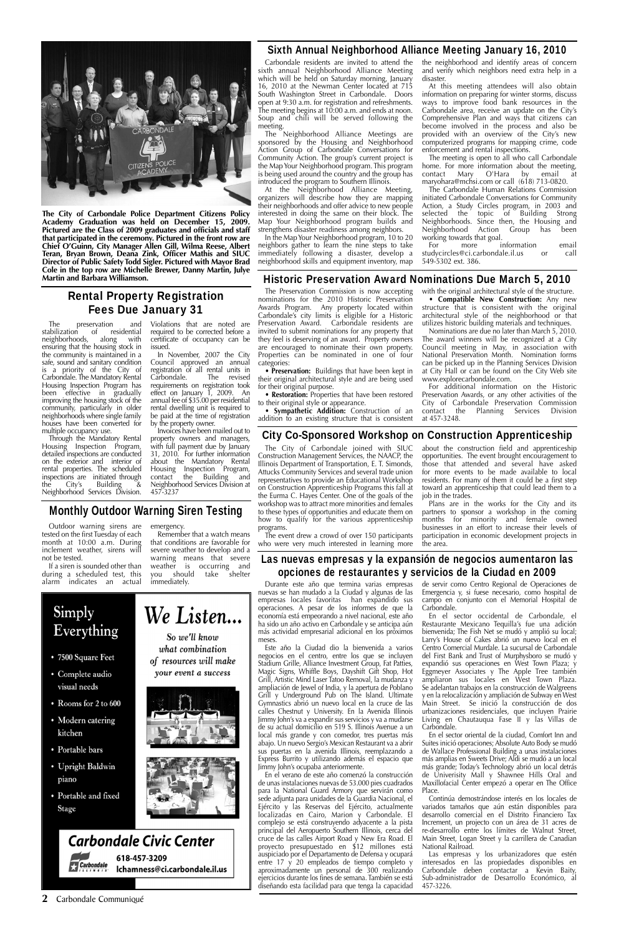#### **2** Carbondale Communiqué

#### Las nuevas empresas y la expansión de negocios aumentaron las opciones de restaurantes y servicios de la Ciudad en 2009

#### Monthly Outdoor Warning Siren Testing

Outdoor warning sirens are tested on the first Tuesday of each month at 10:00 a.m. During inclement weather, sirens will not be tested.

If a siren is sounded other than during a scheduled test, this alarm indicates an actual emergency.

Remember that a watch means that conditions are favorable for severe weather to develop and a warning means that severe weather is occurring and you should take shelter

#### Simply We Listen... Everything So we'll know what combination • 7500 Square Feet of resources will make your event a success • Complete audio

immediately. Durante este año que termina varias empresas nuevas se han mudado a la Ciudad y algunas de las empresas locales favoritas han expandido sus operaciones. A pesar de los informes de que la economía está empeorando a nivel nacional, este año ha sido un año activo en Carbondale y se anticipa aún más actividad empresarial adicional en los próximos meses.

> Este año la Ciudad dio la bienvenida a varios negocios en el centro, entre los que se incluyen Stadium Grille, Alliance Investment Group, Fat Patties, Magic Signs, Whiffle Boys, Dayshift Gift Shop, Hot Grill, Artistic Mind Laser Tatoo Removal, la mudanza y ampliación de Jewel of India, y la apertura de Poblano Grill y Underground Pub on The Island. Ultimate Gymnastics abrió un nuevo local en la cruce de las calles Chestnut y University. En la Avenida Illinois Jimmy John's va a expandir sus servicios y va a mudarse de su actual domicilio en 519 S. Illinois Avenue a un local más grande y con comedor, tres puertas más abajo. Un nuevo Sergio's Mexican Restaurant va a abrir sus puertas en la avenida Illinois, reemplazando a Express Burrito y utilizando además el espacio que Jimmy John's ocupaba anteriormente. En el verano de este año comenzó la construcción de unas instalaciones nuevas de 53.000 pies cuadrados para la National Guard Armory que servirán como sede adjunta para unidades de la Guardia Nacional, el Ejército y las Reservas del Ejército, actualmente localizadas en Cairo, Marion y Carbondale. El complejo se está construyendo adyacente a la pista principal del Aeropuerto Southern Illinois, cerca del cruce de las calles Airport Road y New Era Road. El proyecto presupuestado en \$12 millones está auspiciado por el Departamento de Defensa y ocupará entre 17 y 20 empleados de tiempo completo y aproximadamente un personal de 300 realizando ejercicios durante los fines de semana. También se está diseñando esta facilidad para que tenga la capacidad

The preservation and<br>abilization of residential stabilization of residential<br>neighborhoods, along neighborhoods, along with ensuring that the housing stock in the community is maintained in a safe, sound and sanitary condition is a priority of the City of Carbondale. The Mandatory Rental Housing Inspection Program has been effective in gradually improving the housing stock of the community, particularly in older neighborhoods where single family houses have been converted for multiple occupancy use.

> de servir como Centro Regional de Operaciones de Emergencia y, si fuese necesario, como hospital de campo en conjunto con el Memorial Hospital de Carbondale.

En el sector occidental de Carbondale, el Restaurante Mexicano Tequilla's fue una adición bienvenida; The Fish Net se mudó y amplió su local; Larry's House of Cakes abrió un nuevo local en el Centro Comercial Murdale. La sucursal de Carbondale del First Bank and Trust of Murphysboro se mudó y expandió sus operaciones en West Town Plaza; y Eggmeyer Associates y The Apple Tree también ampliaron sus locales en West Town Plaza. Se adelantan trabajos en la construcción de Walgreens y en la relocalización y ampliación de Subway en West Main Street. Se inició la construcción de dos urbanizaciones residenciales, que incluyen Prairie Living en Chautauqua Fase  $II \vee I$  las Villas de Carbondale. En el sector oriental de la ciudad, Comfort Inn and Suites inició operaciones; Absolute Auto Body se mudó de Wallace Professional Building a unas instalaciones más amplias en Sweets Drive; Aldi se mudó a un local más grande; Today's Technology abrió un local detrás de Univerisity Mall y Shawnee Hills Oral and Maxillofacial Center empezó a operar en The Office Place. Continúa demostrándose interés en los locales de variados tamaños que aún están disponibles para desarrollo comercial en el Distrito Financiero Tax Increment, un projecto con un área de 31 acres de re-desarrollo entre los límites de Walnut Street, Main Street, Logan Street y la carrillera de Canadian National Railroad. Las empresas y los urbanizadores que estén interesados en las propiedades disponibles en Carbondale deben contactar a Kevin Baity, Sub-administrador de Desarrollo Económico, al 457-3226.

- 
- Rooms for 2 to 600
- Modern catering kitchen
- Portable bars
- Upright Baldwin piano
- Portable and fixed **Stage**









618-457-3209 Ichamness@ci.carbondale.il.us

In the Map Your Neighborhood program, 10 to 20 neighbors gather to learn the nine steps to take immediately following a disaster, develop a neighborhood skills and equipment inventory, map

The meeting is open to all who call Carbondale home. For more information about the meeting,<br>contact Mary O'Hara by email at  $contact$  Mary  $O'Hara$  by maryohara@mchsi.com or call (618) 713-0820.

The Carbondale Human Relations Commission initiated Carbondale Conversations for Community Action, a Study Circles program, in 2003 and selected the topic of Building Strong Neighborhoods. Since then, the Housing and<br>Neighborhood Action Group has been Neighborhood Action Group has working towards that goal.<br>For more in

more information email studycircles@ci.carbondale.il.us or call 549-5302 ext. 386.

#### Rental Property Registration Fees Due January 31

Through the Mandatory Rental Housing Inspection Program, detailed inspections are conducted on the exterior and interior of rental properties. The scheduled inspections are initiated through the City's Building & Neighborhood Services Division.

Violations that are noted are required to be corrected before a certificate of occupancy can be issued.

In November, 2007 the City Council approved an annual registration of all rental units in<br>Carbondale. The revised The revised requirements on registration took effect on January 1, 2009. An annual fee of \$35.00 per residential rental dwelling unit is required to be paid at the time of registration by the property owner.

> The event drew a crowd of over 150 participants who were very much interested in learning more

Invoices have been mailed out to property owners and managers, with full payment due by January 31, 2010. For further information about the Mandatory Rental Housing Inspection Program, contact the Building and Neighborhood Services Division at 457-3237



**The City of Carbondale Police Department Citizens Policy Academy Graduation was held on December 15, 2009. Pictured are the Class of 2009 graduates and officials and staff that participated in the ceremony. Pictured in the front row are Chief O'Guinn, City Manager Allen Gill, Wilma Reese, Albert Teran, Bryan Brown, Deana Zink, Officer Mathis and SIUC Director of Public Safety Todd Sigler. Pictured with Mayor Brad Cole in the top row are Michelle Brewer, Danny Martin, Julye Martin and Barbara Williamson.**

#### Sixth Annual Neighborhood Alliance Meeting January 16, 2010

Carbondale residents are invited to attend the sixth annual Neighborhood Alliance Meeting which will be held on Saturday morning, January 16, 2010 at the Newman Center located at 715 South Washington Street in Carbondale. Doors open at 9:30 a.m. for registration and refreshments. The meeting begins at  $10:00$  a.m. and ends at noon. Soup and chili will be served following the meeting.

The Neighborhood Alliance Meetings are sponsored by the Housing and Neighborhood Action Group of Carbondale Conversations for Community Action. The group's current project is the Map Your Neighborhood program. This program is being used around the country and the group has introduced the program to Southern Illinois.

At the Neighborhood Alliance Meeting, organizers will describe how they are mapping their neighborhoods and offer advice to new people interested in doing the same on their block. The Map Your Neighborhood program builds and strengthens disaster readiness among neighbors.

the neighborhood and identify areas of concern and verify which neighbors need extra help in a disaster.

At this meeting attendees will also obtain information on preparing for winter storms, discuss ways to improve food bank resources in the Carbondale area, receive an update on the City's Comprehensive Plan and ways that citizens can become involved in the process and also be provided with an overview of the City's new computerized programs for mapping crime, code enforcement and rental inspections.

#### Historic Preservation Award Nominations Due March 5, 2010

The Preservation Commission is now accepting nominations for the 2010 Historic Preservation Awards Program. Any property located within Carbondale's city limits is eligible for a Historic Preservation Award. Carbondale residents are invited to submit nominations for any property that they feel is deserving of an award. Property owners are encouraged to nominate their own property. Properties can be nominated in one of four categories:

• **Preservation:** Buildings that have been kept in their original architectural style and are being used for their original purpose.

• **Restoration:** Properties that have been restored to their original style or appearance.

• **Sympathetic Addition:** Construction of an addition to an existing structure that is consistent

with the original architectural style of the structure. • **Compatible New Construction:** Any new structure that is consistent with the original architectural style of the neighborhood or that utilizes historic building materials and techniques.

Nominations are due no later than March 5, 2010. The award winners will be recognized at a City Council meeting in May, in association with National Preservation Month. Nomination forms can be picked up in the Planning Services Division at City Hall or can be found on the City Web site www.explorecarbondale.com.

For additional information on the Historic Preservation Awards, or any other activities of the City of Carbondale Preservation Commission contact the Planning Services Division at 457-3248.

#### City Co-Sponsored Workshop on Construction Apprenticeship

The City of Carbondale joined with SIUC Construction Management Services, the NAACP, the Illinois Department of Transportation, E. T. Simonds, Attucks Community Services and several trade union representatives to provide an Educational Workshop on Construction Apprenticeship Programs this fall at the Eurma C. Hayes Center. One of the goals of the workshop was to attract more minorities and females to these types of opportunities and educate them on how to qualify for the various apprenticeship programs.

about the construction field and apprenticeship opportunities. The event brought encouragement to those that attended and several have asked for more events to be made available to local residents. For many of them it could be a first step toward an apprenticeship that could lead them to a job in the trades.

Plans are in the works for the City and its partners to sponsor a workshop in the coming months for minority and female owned businesses in an effort to increase their levels of participation in economic development projects in the area.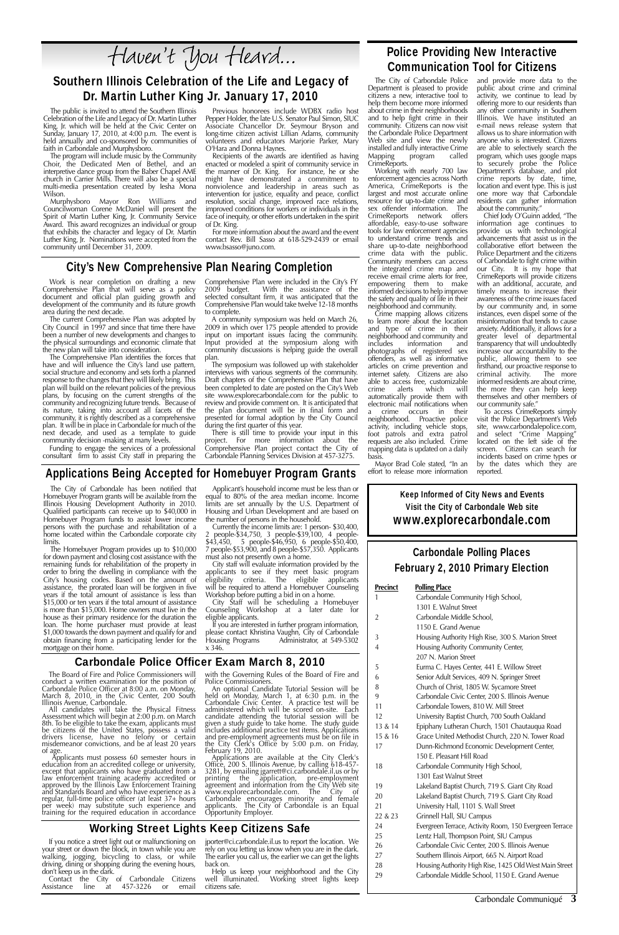Carbondale Communiqué **3**

#### Carbondale Police Officer Exam March 8, 2010

The Board of Fire and Police Commissioners will conduct a written examination for the position of

Illinois Avenue, Carbondale.<br>All candidates will take the Physical Fitness<br>Assessment which will begin at 2:00 p.m. on March 8th. To be eligible to take the exam, applicants must be citizens of the United States, possess a valid drivers license, have no felony or certain misdemeanor convictions, and be at least 20 years

of age. Applicants must possess 60 semester hours in education from an accredited college or university, except that applicants who have graduated from a law enforcement training academy accredited or approved by the Illinois Law Enforcement Training and Standards Board and who have experience as a regular, full-time police officer (at least 37+ hours per week) may substitute such experience and training for the required education in accordance

The public is invited to attend the Southern Illinois Celebration of the Life and Legacy of Dr. Martin Luther King, Jr. which will be held at the Civic Center on Sunday, January 17, 2010, at 4:00 p.m. The event is held annually and co-sponsored by communities of faith in Carbondale and Murphysboro.

> with the Governing Rules of the Board of Fire and Police Commissioners.<br>An optional Candidate Tutorial Session will be held on Monday, March  $1$ , at 6:30 p.m. in the Carbondale Civic Center. A practice test will be administered which will be scored on-site. Each candidate attending the tutorial session will be given a study guide to take home. The study guide includes additional practice test items. Applications and pre-employment agreements must be on file in the City Clerk's Office by 5:00 p.m. on Friday, February 19, 2010. Applications are available at the City Clerk's Office, 200 S. Illinois Avenue, by calling 618-457-3281, by emailing jgarrett@ci.carbondale.il.us or by printing the application, pre-employment agreement and information from the City Web site www.explorecarbondale.com. The City of Carbondale encourages minority and female applicants. The City of Carbondale is an Equal Opportunity Employer.

Haven't You Heard...

#### Southern Illinois Celebration of the Life and Legacy of Dr. Martin Luther King Jr. January 17, 2010

The program will include music by the Community Choir, the Dedicated Men of Bethel, and an interpretive dance group from the Baber Chapel AME church in Carrier Mills. There will also be a special multi-media presentation created by Iesha Mona Wilson.

> City staff will evaluate information provided by the applicants to see if they meet basic program eligibility criteria. The eligible applicants will be required to attend a Homebuyer Counseling Workshop before putting a bid in on a home.

Murphysboro Mayor Ron Williams and Councilwoman Corene McDaniel will present the Spirit of Martin Luther King, Jr. Community Service Award. This award recognizes an individual or group that exhibits the character and legacy of Dr. Martin Luther King, Jr. Nominations were accepted from the community until December 31, 2009.

Previous honorees include WDBX radio host Pepper Holder, the late U.S. Senator Paul Simon, SIUC Associate Chancellor Dr. Seymour Bryson and long-time citizen activist Lillian Adams, community volunteers and educators Marjorie Parker, Mary O'Hara and Donna Haynes.

Recipients of the awards are identified as having enacted or modeled a spirit of community service in the manner of Dr. King. For instance, he or she might have demonstrated a commitment to nonviolence and leadership in areas such as intervention for justice, equality and peace, conflict resolution, social change, improved race relations, improved conditions for workers or individuals in the face of inequity, or other efforts undertaken in the spirit of Dr. King.

For more information about the award and the event contact Rev. Bill Sasso at 618-529-2439 or email www.bsasso@juno.com.

#### Applications Being Accepted for Homebuyer Program Grants

The City of Carbondale has been notified that Homebuyer Program grants will be available from the Illinois Housing Development Authority in 2010. Qualified participants can receive up to \$40,000 in Homebuyer Program funds to assist lower income persons with the purchase and rehabilitation of a home located within the Carbondale corporate city limits.

Comprehensive Plan were included in the City's FY<br>2009 budget. With the assistance of the With the assistance of the selected consultant firm, it was anticipated that the Comprehensive Plan would take twelve 12-18 months to complete.

The Homebuyer Program provides up to \$10,000 for down payment and closing cost assistance with the remaining funds for rehabilitation of the property in order to bring the dwelling in compliance with the City's housing codes. Based on the amount of assistance, the prorated loan will be forgiven in five years if the total amount of assistance is less than \$15,000 or ten years if the total amount of assistance is more than \$15,000. Home owners must live in the house as their primary residence for the duration the loan. The home purchaser must provide at least \$1,000 towards the down payment and qualify for and obtain financing from a participating lender for the mortgage on their home.

There is still time to provide your input in this project. For more information about the Comprehensive Plan project contact the City of Carbondale Planning Services Division at 457-3275.

Applicant's household income must be less than or equal to 80% of the area median income. Income limits are set annually by the U.S. Department of Housing and Urban Development and are based on the number of persons in the household.

Currently the income limits are: 1 person- \$30,400, 2 people-\$34,750, 3 people-\$39,100, 4 people- \$43,450, 5 people-\$46,950, 6 people-\$50,400, 7 people-\$53,900, and 8 people-\$57,350. Applicants must also not presently own a home.

City Staff will be scheduling a Homebuyer Counseling Workshop at a later date for eligible applicants.

If you are interested in further program information, please contact Khristina Vaughn, City of Carbondale<br>Housing Programs Administrator, at 549-5302 Administrator, at 549-5302 x 346.

#### **Precinct Polling Place** 1 Carbondale Community High School, 1301 E. Walnut Street 2 Carbondale Middle School, 1150 E. Grand Avenue 3 Housing Authority High Rise, 300 S. Marion Street 4 Housing Authority Community Center, 207 N. Marion Street 5 Eurma C. Hayes Center, 441 E. Willow Street 6 Senior Adult Services, 409 N. Springer Street

Carbondale Police Officer at 8:00 a.m. on Monda March 8, 2010, in the Civic Center, 200 South<br>Illinois Avenue, Carbondale.

| 8       | Church of Christ, 1805 W. Sycamore Street               |
|---------|---------------------------------------------------------|
| 9       | Carbondale Civic Center, 200 S. Illinois Avenue         |
| 11      | Carbondale Towers, 810 W. Mill Street                   |
| 12      | University Baptist Church, 700 South Oakland            |
| 13 & 14 | Epiphany Lutheran Church, 1501 Chautauqua Road          |
| 15 & 16 | Grace United Methodist Church, 220 N. Tower Road        |
| 17      | Dunn-Richmond Economic Development Center,              |
|         | 150 E. Pleasant Hill Road                               |
| 18      | Carbondale Community High School,                       |
|         | 1301 East Walnut Street                                 |
| 19      | Lakeland Baptist Church, 719 S. Giant City Road         |
| 20      | Lakeland Baptist Church, 719 S. Giant City Road         |
| 21      | University Hall, 1101 S. Wall Street                    |
| 22 & 23 | Grinnell Hall, SIU Campus                               |
| 24      | Evergreen Terrace, Activity Room, 150 Evergreen Terrace |
| 25      | Lentz Hall, Thompson Point, SIU Campus                  |
| 26      | Carbondale Civic Center, 200 S. Illinois Avenue         |
| 27      | Southern Illinois Airport, 665 N. Airport Road          |
| 28      | Housing Authority High Rise, 1425 Old West Main Street  |
| 29      | Carbondale Middle School, 1150 E. Grand Avenue          |

#### Carbondale Polling Places February 2, 2010 Primary Election

#### City's New Comprehensive Plan Nearing Completion

Work is near completion on drafting a new Comprehensive Plan that will serve as a policy document and official plan guiding growth and development of the community and its future growth area during the next decade.

The current Comprehensive Plan was adopted by City Council in 1997 and since that time there have been a number of new developments and changes to the physical surroundings and economic climate that the new plan will take into consideration.

The Comprehensive Plan identifies the forces that have and will influence the City's land use pattern, social structure and economy and sets forth a planned response to the changes that they will likely bring. This plan will build on the relevant policies of the previous plans, by focusing on the current strengths of the community and recognizing future trends. Because of its nature, taking into account all facets of the community, it is rightly described as a comprehensive plan. It will be in place in Carbondale for much of the next decade, and used as a template to guide community decision -making at many levels.

Funding to engage the services of a professional consultant firm to assist City staff in preparing the

A community symposium was held on March 26, 2009 in which over 175 people attended to provide input on important issues facing the community. Input provided at the symposium along with community discussions is helping guide the overall plan.

The symposium was followed up with stakeholder interviews with various segments of the community. Draft chapters of the Comprehensive Plan that have been completed to date are posted on the City's Web site www.explorecarbondale.com for the public to review and provide comment on. It is anticipated that the plan document will be in final form and presented for formal adoption by the City Council during the first quarter of this year.

#### Police Providing New Interactive Communication Tool for Citizens

The City of Carbondale Police Department is pleased to provide citizens a new, interactive tool to help them become more informed about crime in their neighborhoods and to help fight crime in their community. Citizens can now visit the Carbondale Police Department Web site and view the newly installed and fully interactive Crime<br>Mapping program called program CrimeReports.

Working with nearly 700 law enforcement agencies across North America, CrimeReports is the largest and most accurate online resource for up-to-date crime and sex offender information. The CrimeReports network offers affordable, easy-to-use software tools for law enforcement agencies to understand crime trends and share up-to-date neighborhood crime data with the public. Community members can access the integrated crime map and receive email crime alerts for free, empowering them to make informed decisions to help improve the safety and quality of life in their neighborhood and community.

Crime mapping allows citizens to learn more about the location and type of crime in their neighborhood and community and includes information and photographs of registered sex offenders, as well as informative articles on crime prevention and internet safety. Citizens are also able to access free, customizable<br>crime alerts which will which automatically provide them with electronic mail notifications when a crime occurs in their neighborhood. Proactive police activity, including vehicle stops, foot patrols and extra patrol requests are also included. Crime mapping data is updated on a daily basis.

Mayor Brad Cole stated, "In an effort to release more information and provide more data to the public about crime and criminal activity, we continue to lead by offering more to our residents than any other community in Southern Illinois. We have instituted an e-mail news release system that allows us to share information with anyone who is interested. Citizens are able to selectively search the program, which uses google maps to securely probe the Police Department's database, and plot crime reports by date, time, location and event type. This is just one more way that Carbondale residents can gather information about the community."

Chief Jody O'Guinn added, "The information age continues to provide us with technological advancements that assist us in the collaborative effort between the Police Department and the citizens of Carbondale to fight crime within our City. It is my hope that CrimeReports will provide citizens with an additional, accurate, and timely means to increase their awareness of the crime issues faced by our community and, in some instances, even dispel some of the misinformation that tends to cause anxiety. Additionally, it allows for a greater level of departmental transparency that will undoubtedly increase our accountability to the public, allowing them to see firsthand, our proactive response to criminal activity. The more informed residents are about crime, the more they can help keep themselves and other members of our community safe."

To access CrimeReports simply visit the Police Department's Web site, www.carbondalepolice.com, and select "Crime Mapping" located on the left side of the screen. Citizens can search for incidents based on crime types or by the dates which they are reported.

#### Working Street Lights Keep Citizens Safe

If you notice a street light out or malfunctioning on your street or down the block, in town while you are walking, jogging, bicycling to class, or while driving, dining or shopping during the evening hours, don't keep us in the dark.

Contact the City of Carbondale Citizens<br>Assistance line at 457-3226 or email  $\frac{1}{2}$  at 457-3226 or

jporter@ci.carbondale.il.us to report the location. We rely on you letting us know when you are in the dark. The earlier you call us, the earlier we can get the lights back on.

 $22 &$ 

Help us keep your neighborhood and the City well illuminated. Working street lights keep citizens safe.

Keep Informed of City News and Events Visit the City of Carbondale Web site www.explorecarbondale.com